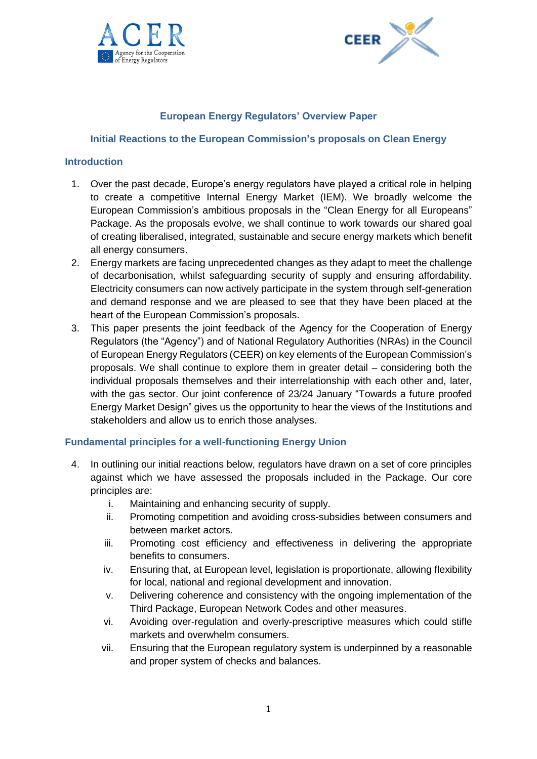



# **European Energy Regulators' Overview Paper**

#### **Initial Reactions to the European Commission's proposals on Clean Energy**

#### **Introduction**

- 1. Over the past decade, Europe's energy regulators have played a critical role in helping to create a competitive Internal Energy Market (IEM). We broadly welcome the European Commission's ambitious proposals in the "Clean Energy for all Europeans" Package. As the proposals evolve, we shall continue to work towards our shared goal of creating liberalised, integrated, sustainable and secure energy markets which benefit all energy consumers.
- 2. Energy markets are facing unprecedented changes as they adapt to meet the challenge of decarbonisation, whilst safeguarding security of supply and ensuring affordability. Electricity consumers can now actively participate in the system through self-generation and demand response and we are pleased to see that they have been placed at the heart of the European Commission's proposals.
- 3. This paper presents the joint feedback of the Agency for the Cooperation of Energy Regulators (the "Agency") and of National Regulatory Authorities (NRAs) in the Council of European Energy Regulators (CEER) on key elements of the European Commission's proposals. We shall continue to explore them in greater detail – considering both the individual proposals themselves and their interrelationship with each other and, later, with the gas sector. Our joint conference of 23/24 January "Towards a future proofed Energy Market Design" gives us the opportunity to hear the views of the Institutions and stakeholders and allow us to enrich those analyses.

## **Fundamental principles for a well-functioning Energy Union**

- 4. In outlining our initial reactions below, regulators have drawn on a set of core principles against which we have assessed the proposals included in the Package. Our core principles are:
	- i. Maintaining and enhancing security of supply.
	- ii. Promoting competition and avoiding cross-subsidies between consumers and between market actors.
	- iii. Promoting cost efficiency and effectiveness in delivering the appropriate benefits to consumers.
	- iv. Ensuring that, at European level, legislation is proportionate, allowing flexibility for local, national and regional development and innovation.
	- v. Delivering coherence and consistency with the ongoing implementation of the Third Package, European Network Codes and other measures.
	- vi. Avoiding over-regulation and overly-prescriptive measures which could stifle markets and overwhelm consumers.
	- vii. Ensuring that the European regulatory system is underpinned by a reasonable and proper system of checks and balances.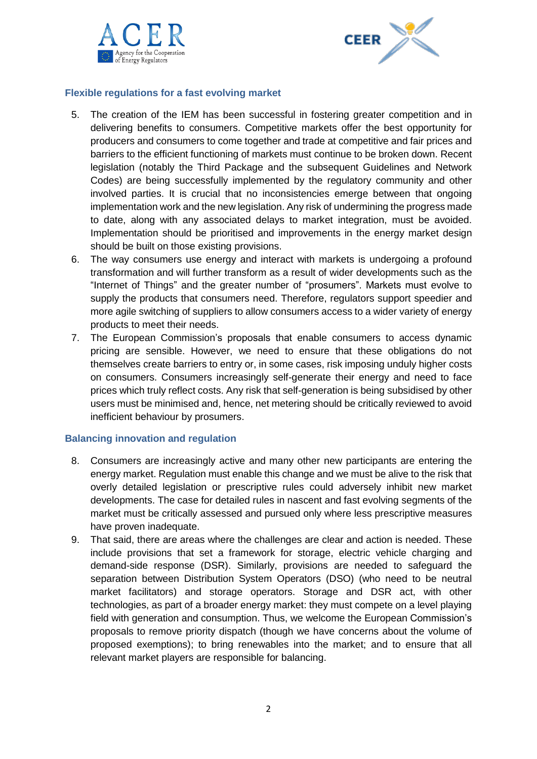



# **Flexible regulations for a fast evolving market**

- 5. The creation of the IEM has been successful in fostering greater competition and in delivering benefits to consumers. Competitive markets offer the best opportunity for producers and consumers to come together and trade at competitive and fair prices and barriers to the efficient functioning of markets must continue to be broken down. Recent legislation (notably the Third Package and the subsequent Guidelines and Network Codes) are being successfully implemented by the regulatory community and other involved parties. It is crucial that no inconsistencies emerge between that ongoing implementation work and the new legislation. Any risk of undermining the progress made to date, along with any associated delays to market integration, must be avoided. Implementation should be prioritised and improvements in the energy market design should be built on those existing provisions.
- 6. The way consumers use energy and interact with markets is undergoing a profound transformation and will further transform as a result of wider developments such as the "Internet of Things" and the greater number of "prosumers". Markets must evolve to supply the products that consumers need. Therefore, regulators support speedier and more agile switching of suppliers to allow consumers access to a wider variety of energy products to meet their needs.
- 7. The European Commission's proposals that enable consumers to access dynamic pricing are sensible. However, we need to ensure that these obligations do not themselves create barriers to entry or, in some cases, risk imposing unduly higher costs on consumers. Consumers increasingly self-generate their energy and need to face prices which truly reflect costs. Any risk that self-generation is being subsidised by other users must be minimised and, hence, net metering should be critically reviewed to avoid inefficient behaviour by prosumers.

## **Balancing innovation and regulation**

- 8. Consumers are increasingly active and many other new participants are entering the energy market. Regulation must enable this change and we must be alive to the risk that overly detailed legislation or prescriptive rules could adversely inhibit new market developments. The case for detailed rules in nascent and fast evolving segments of the market must be critically assessed and pursued only where less prescriptive measures have proven inadequate.
- 9. That said, there are areas where the challenges are clear and action is needed. These include provisions that set a framework for storage, electric vehicle charging and demand-side response (DSR). Similarly, provisions are needed to safeguard the separation between Distribution System Operators (DSO) (who need to be neutral market facilitators) and storage operators. Storage and DSR act, with other technologies, as part of a broader energy market: they must compete on a level playing field with generation and consumption. Thus, we welcome the European Commission's proposals to remove priority dispatch (though we have concerns about the volume of proposed exemptions); to bring renewables into the market; and to ensure that all relevant market players are responsible for balancing.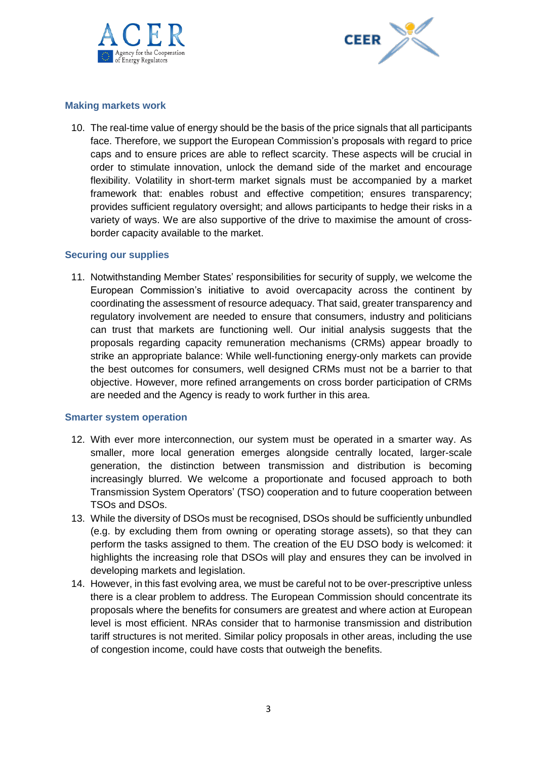



## **Making markets work**

10. The real-time value of energy should be the basis of the price signals that all participants face. Therefore, we support the European Commission's proposals with regard to price caps and to ensure prices are able to reflect scarcity. These aspects will be crucial in order to stimulate innovation, unlock the demand side of the market and encourage flexibility. Volatility in short-term market signals must be accompanied by a market framework that: enables robust and effective competition; ensures transparency; provides sufficient regulatory oversight; and allows participants to hedge their risks in a variety of ways. We are also supportive of the drive to maximise the amount of crossborder capacity available to the market.

## **Securing our supplies**

11. Notwithstanding Member States' responsibilities for security of supply, we welcome the European Commission's initiative to avoid overcapacity across the continent by coordinating the assessment of resource adequacy. That said, greater transparency and regulatory involvement are needed to ensure that consumers, industry and politicians can trust that markets are functioning well. Our initial analysis suggests that the proposals regarding capacity remuneration mechanisms (CRMs) appear broadly to strike an appropriate balance: While well-functioning energy-only markets can provide the best outcomes for consumers, well designed CRMs must not be a barrier to that objective. However, more refined arrangements on cross border participation of CRMs are needed and the Agency is ready to work further in this area.

## **Smarter system operation**

- 12. With ever more interconnection, our system must be operated in a smarter way. As smaller, more local generation emerges alongside centrally located, larger-scale generation, the distinction between transmission and distribution is becoming increasingly blurred. We welcome a proportionate and focused approach to both Transmission System Operators' (TSO) cooperation and to future cooperation between TSOs and DSOs.
- 13. While the diversity of DSOs must be recognised, DSOs should be sufficiently unbundled (e.g. by excluding them from owning or operating storage assets), so that they can perform the tasks assigned to them. The creation of the EU DSO body is welcomed: it highlights the increasing role that DSOs will play and ensures they can be involved in developing markets and legislation.
- 14. However, in this fast evolving area, we must be careful not to be over-prescriptive unless there is a clear problem to address. The European Commission should concentrate its proposals where the benefits for consumers are greatest and where action at European level is most efficient. NRAs consider that to harmonise transmission and distribution tariff structures is not merited. Similar policy proposals in other areas, including the use of congestion income, could have costs that outweigh the benefits.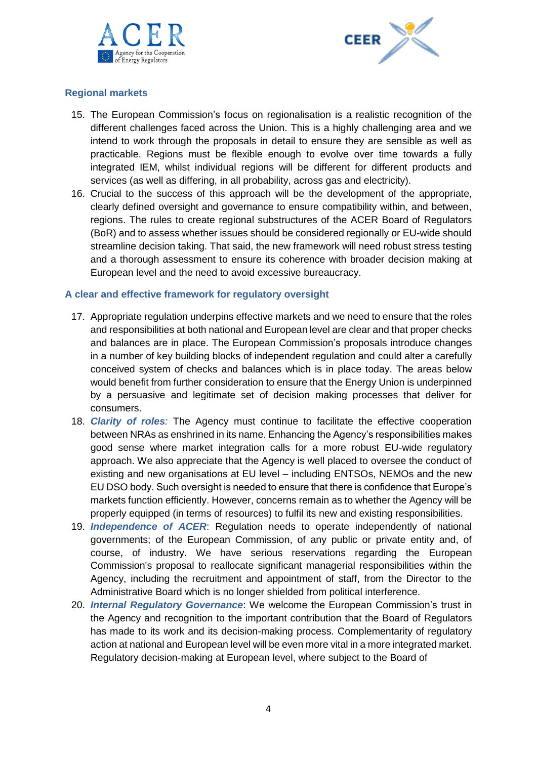



# **Regional markets**

- 15. The European Commission's focus on regionalisation is a realistic recognition of the different challenges faced across the Union. This is a highly challenging area and we intend to work through the proposals in detail to ensure they are sensible as well as practicable. Regions must be flexible enough to evolve over time towards a fully integrated IEM, whilst individual regions will be different for different products and services (as well as differing, in all probability, across gas and electricity).
- 16. Crucial to the success of this approach will be the development of the appropriate, clearly defined oversight and governance to ensure compatibility within, and between, regions. The rules to create regional substructures of the ACER Board of Regulators (BoR) and to assess whether issues should be considered regionally or EU-wide should streamline decision taking. That said, the new framework will need robust stress testing and a thorough assessment to ensure its coherence with broader decision making at European level and the need to avoid excessive bureaucracy.

## **A clear and effective framework for regulatory oversight**

- 17. Appropriate regulation underpins effective markets and we need to ensure that the roles and responsibilities at both national and European level are clear and that proper checks and balances are in place. The European Commission's proposals introduce changes in a number of key building blocks of independent regulation and could alter a carefully conceived system of checks and balances which is in place today. The areas below would benefit from further consideration to ensure that the Energy Union is underpinned by a persuasive and legitimate set of decision making processes that deliver for consumers.
- 18. *Clarity of roles:* The Agency must continue to facilitate the effective cooperation between NRAs as enshrined in its name. Enhancing the Agency's responsibilities makes good sense where market integration calls for a more robust EU-wide regulatory approach. We also appreciate that the Agency is well placed to oversee the conduct of existing and new organisations at EU level – including ENTSOs, NEMOs and the new EU DSO body. Such oversight is needed to ensure that there is confidence that Europe's markets function efficiently. However, concerns remain as to whether the Agency will be properly equipped (in terms of resources) to fulfil its new and existing responsibilities.
- 19. *Independence of ACER*: Regulation needs to operate independently of national governments; of the European Commission, of any public or private entity and, of course, of industry. We have serious reservations regarding the European Commission's proposal to reallocate significant managerial responsibilities within the Agency, including the recruitment and appointment of staff, from the Director to the Administrative Board which is no longer shielded from political interference.
- 20. *Internal Regulatory Governance*: We welcome the European Commission's trust in the Agency and recognition to the important contribution that the Board of Regulators has made to its work and its decision-making process. Complementarity of regulatory action at national and European level will be even more vital in a more integrated market. Regulatory decision-making at European level, where subject to the Board of